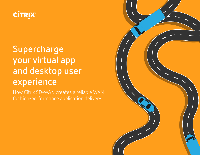

# **Supercharge your virtual app and desktop user experience**

How Citrix SD-WAN creates a reliable WAN for high-performance application delivery

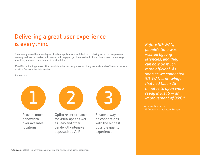## **Delivering a great user experience is everything**

You already know the advantages of virtual applications and desktops. Making sure your employees have a great user experience, however, will help you get the most out of your investment, encourage adoption, and reach new levels of productivity.

SD-WAN technology makes this possible, whether people are working from a branch office or a remote location far from the data center.

It allows you to:



Provide more bandwidth over available locations



Optimize performance for virtual apps as well as SaaS and other bandwidth-intensive apps such as VoIP

Ensure alwayson connections with the highest possible quality experience

*"Before SD-WAN, people's time was wasted by long latencies, and they can now be much more efficient. As soon as we connected SD-WAN ... drawings that had taken 25 minutes to open were ready in just 5 — an improvement of 80%."*

-Andrée Bengtsson IT Coordinator, Yakasaw Europe

[Citrix.com](http://www.citrix.com/?src=pdf-EB-SuperChargeXAXD-042018&&utm_medium=pdf&utm_source=%252520pdf-EB-SuperChargeXAXD-042018) | eBook | Supercharge your virtual app and desktop user experiences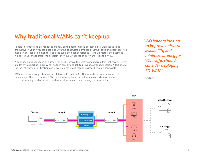### **Why traditional WANs can't keep up**

People in remote and branch locations rely on the performance of their digital workspace to be productive. If your WAN can't keep up with the bandwidth demands of virtual apps and desktops, rich media, high-resolution monitors, and file sync, the user experience — and ultimately the business will suffer. But most often, the problem isn't your virtualization software — it's the WAN.

A poor backup response in an outage can be disruptive to users' work and result in lost revenue. Even a failover to a backup link may not happen quickly enough to prevent a dropped session. Additionally, the lack of traffic prioritization can leave your most critical apps without enough bandwidth.

WAN latency and congestion can stretch round-trip time (RTT) hundreds or even thousands of times longer than a corporate LAN. The increasing bandwidth demands of virtualization, video, teleconferencing, and other rich media can slow business apps using the same links.

*"I&O leaders looking to improve network availability and minimize latency for VDI traffic should consider deploying SD-WAN."*

**-Gartner1**

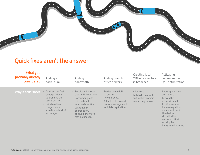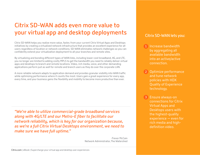## **Citrix SD-WAN adds even more value to your virtual app and desktop deployments**

Citrix SD-WAN helps you realize more value, faster, from your current Citrix Virtual Apps and Desktops initiatives by creating a virtualized network infrastructure that provides an excellent experience for all users regardless of location or network conditions. SD-WAN eliminates network challenges so you can confidently extend your virtualization deployment to all your branches and remote sites.

By virtualizing and bonding different types of WAN links, including lower-cost broadband, 4G, and LTE, you no longer are limited to adding costly MPLS to get the bandwidth you need to reliably deliver virtual apps and desktops to branch and remote locations. Video, rich media, voice, and other demanding applications perform just as well for remote and branch users as they do over the corporate LAN.

A more reliable network adapts to application demand and provides granular visibility into WAN traffic while optimizing performance where it counts the most. Users gain a great experience for every app, every time, and your business gains the flexibility and mobility to become more productive than ever.

*"We're able to utilize commercial-grade broadband services along with 4G/LTE and our Metro-E fiber to facilitate our network reliability, which is key for our organization because, as we're a full Citrix Virtual Desktops environment, we need to make sure we have full uptime."*

> -Trevor McCain Network Administrator, The Watershed

### **Citrix SD-WAN lets you:**

- 1 Increase bandwidth by aggregating all available bandwidth into an active/active connection.
- Optimize performance **2** and tune network policies with HDX Quality of Experience technology.
- Ensure always-on **3** connections for Citrix Virtual Apps and Desktops users with the highest-quality experience — even for rich media and highdefinition video.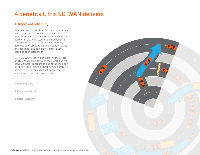## <span id="page-5-0"></span>**4 benefits Citrix SD-WAN delivers**

### **1. Improved reliability**

Whether users access their Citrix virtual apps and desktops from a data center or cloud, Citrix SD-WAN makes sure that underlying network issues don't interfere with access or their experience. The solution enables a self-healing network, automatically rerouting traffic off of poor-quality or failed links—and doing it instantly so user sessions don't disconnect.

Citrix SD-WAN uses two or more links to create a virtual connection between the branch and the server. If there is a failure on one of the links, or if one begins to degrade, all traffic immediately will be moved to the remaining link, preserving the user sessions and user productivity.

**[2. Higher quality](#page-6-0)**

**[3. More bandwidth](#page-7-0)**



[Citrix.com](http://www.citrix.com/?src=pdf-EB-SuperChargeXAXD-042018&&utm_medium=pdf&utm_source=%252520pdf-EB-SuperChargeXAXD-042018) | eBook | Supercharge your virtual app and desktop user experiences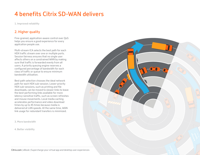**[1. Improved reliability](#page-5-0)**

### **2. Higher quality**

Fine-grained, application-aware control over QoS helps you ensure a good experience for every application people use.

Multi-stream ICA selects the best path for each HDX traffic stream over one or multiple ports. Session fairness ensures that no single user affects others on a constrained WAN by making sure that traffic is forwarded evenly from all users. A priority queuing engine reserves a configured percentage of bandwidth for each class of traffic or queue to ensure minimum bandwidth utilization.

Best path selection chooses the ideal network path for each HDX sub-session. Lower-priority HDX sub-sessions, such as printing and file downloads, can be moved to slower links to leave the best-performing links available for more latency-sensitive traffic, such as screen refreshes and mouse movements. Local media caching accelerates performance and video download times by up to 45 times because media is delivered at LAN speeds. At the same time, WAN link usage for redundant transfers is minimized.

**[3. More bandwidth](#page-7-0)**

**[4. Better visibility](#page-8-0)**

<span id="page-6-0"></span>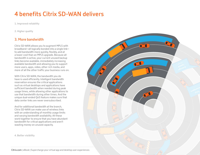## <span id="page-7-0"></span>**4 benefits Citrix SD-WAN delivers**

**[1. Improved reliability](#page-5-0)**

**[2. Higher quality](#page-6-0)**

### **3. More bandwidth**

Citrix SD-WAN allows you to augment MPLS with broadband—all logically bonded into a single link to add bandwidth more quickly, flexibly, and at a lower cost than an MPLS upgrade. Because all bandwidth is active, your current unused backup links become available, immediately increasing available bandwidth and allowing you to support more users, apps, video, other rich media, and more of all the other traffic your business runs on.

With Citrix SD-WAN, the bandwidth you do have is used efficiently. Intelligent bandwidth reservation ensures the critical applications such as virtual desktops and applications have sufficient bandwidth when needed during peak usage times, while allowing other applications to use that bandwidth during other times. And the unique dual-ended QoS feature makes sure that data center links are never oversubscribed.

And for additional bandwidth at the branch, Citrix SD-WAN can make use of wireless links with an understanding of monthly usage limits and varying bandwidth availability. All these work together to ensure that you have abundant bandwidth for critical applications and aren't wasting money on unused capacity.

**[4. Better visibility](#page-8-0)**



[Citrix.com](http://www.citrix.com/?src=pdf-EB-SuperChargeXAXD-042018&&utm_medium=pdf&utm_source=%252520pdf-EB-SuperChargeXAXD-042018) | eBook | Supercharge your virtual app and desktop user experiences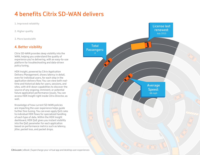## <span id="page-8-0"></span>**4 benefits Citrix SD-WAN delivers**

**[1. Improved reliability](#page-5-0)**

**[2. Higher quality](#page-6-0)**

**[3. More bandwidth](#page-7-0)**

### **4. Better visibility**

Citrix SD-WAN provides deep visibility into the WAN, helping you understand the quality of experience you're delivering, with an easy-to-use platform for troubleshooting and data-driven policy tuning.

HDX Insight, powered by Citrix Application Delivery Management, shows latency in detail, even for individual users, for each step in the application delivery flow. You can view both realtime and historical data for users, sessions, and sites, with drill-down capabilities to discover the source of any ongoing, imminent, or potential future application performance issues. You can access HDX Insight right inside Citrix Director, as well.

Knowledge of how current SD-WAN policies are impacting the user experience helps guide further fine-tuning. You can even apply QoS rules to individual HDX flows for specialized handling of each type of data. Within the HDX Insight dashboard, HDX QoE gives you instant visibility into the QoE parameter for each application based on performance metrics such as latency, jitter, packet loss, and packet drops.

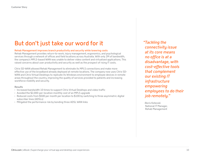## **But don't just take our word for it**

### **Rehab Management improves branch productivity and security while lowering costs**

Rehab Management provides return-to-work, injury management, ergonomics, and psychological services through a network of offices and field locations across Australia. With only 2M of bandwidth, the company's MPLS-based WAN was unable to deliver video content and virtualized applications. This raised concerns about user productivity and security as well as the prospect of rising IT costs.

Citrix SD-WAN allowed Rehab Management to eliminate its MPLS connections and make more effective use of the broadband already deployed at remote locations. The company now uses Citrix SD-WAN and Citrix Virtual Desktops to replicate its Windows environment to employee devices in remote areas throughout the country, improving the quality of services provided to patients and increasing workforce mobility and security.

### **Results**

- Increased bandwidth 10 times to support Citrix Virtual Desktops and video traffic
- Avoided the \$2,000-per-location monthly cost of an MPLS upgrade
- Reduced costs from \$500 per month per location to \$100 by switching to three asymmetric digital subscriber lines (ADSLs)
- Mitigated the performance risk by bonding three ADSL WAN links

*"Tackling the connectivity issue at its core means no office is at a disadvantage, with cost-effective tools that complement our existing IT infrastructure empowering employees to do their job remotely."* 

-Boris Kotevski National IT Manager, Rehab Management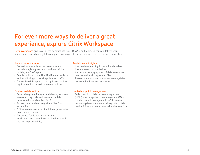### **For even more ways to deliver a great experience, explore Citrix Workspace**

**[Citrix Workspace](http://www.citrix.com/workspace//?src=pdf-EB-SuperChargeXAXD-042018&&utm_medium=pdf&utm_source=%252520pdf-EB-SuperChargeXAXD-042018)** gives you all the benefits of Citrix SD-WAN and more, so you can deliver secure, unified, and contextual digital workspaces with a great user experience from any device or location.

#### **Secure remote access**

- Consolidate remote access solutions, and provide single sign-on across all web, virtual, mobile, and SaaS apps
- Enable multi-factor authentication and end-toend monitoring across all application traffic
- Deliver the right apps to the right users at the right time with contextual access policies

### **Content collaboration**

- Enterprise-grade file sync and sharing services across all corporate and personal mobile devices, with total control for IT
- Access, sync, and securely share files from any device
- Offline access keeps productivity up, even when users are on the go
- Automate feedback and approval workflows to streamline your business and maximize productivity

#### **Analytics and insights**

- Use machine learning to detect and analyze threats based on user behavior
- Automate the aggregation of data across users, devices, networks, apps, and files
- Prevent data loss, uncover ransomware, detect noncompliant devices, and more

### **Unified endpoint management**

• Full access to mobile device management (MDM), mobile application management (MAM), mobile content management (MCM), secure network gateway, and enterprise-grade mobile productivity apps in one comprehensive solution